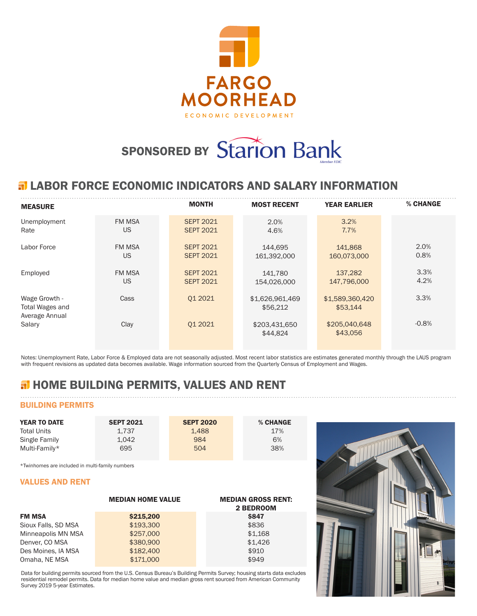

# SPONSORED BY Starion Bank

## **ELABOR FORCE ECONOMIC INDICATORS AND SALARY INFORMATION**

| <b>MEASURE</b>                                     |               | <b>MONTH</b>     | <b>MOST RECENT</b>          | <b>YEAR EARLIER</b>         | % CHANGE |
|----------------------------------------------------|---------------|------------------|-----------------------------|-----------------------------|----------|
| Unemployment                                       | <b>FM MSA</b> | <b>SEPT 2021</b> | 2.0%                        | 3.2%                        |          |
| Rate                                               | <b>US</b>     | <b>SEPT 2021</b> | 4.6%                        | 7.7%                        |          |
| Labor Force                                        | <b>FM MSA</b> | <b>SEPT 2021</b> | 144.695                     | 141,868                     | 2.0%     |
|                                                    | US            | <b>SEPT 2021</b> | 161.392.000                 | 160,073,000                 | 0.8%     |
| Employed                                           | <b>FM MSA</b> | <b>SEPT 2021</b> | 141.780                     | 137.282                     | 3.3%     |
|                                                    | US            | <b>SEPT 2021</b> | 154.026.000                 | 147,796,000                 | 4.2%     |
| Wage Growth -<br>Total Wages and<br>Average Annual | Cass          | 01 2021          | \$1,626,961,469<br>\$56,212 | \$1,589,360,420<br>\$53,144 | 3.3%     |
| Salary                                             | Clay          | 01 20 21         | \$203,431,650<br>\$44,824   | \$205,040,648<br>\$43,056   | $-0.8%$  |

Notes: Unemployment Rate, Labor Force & Employed data are not seasonally adjusted. Most recent labor statistics are estimates generated monthly through the LAUS program with frequent revisions as updated data becomes available. Wage information sourced from the Quarterly Census of Employment and Wages.

# **H** HOME BUILDING PERMITS, VALUES AND RENT

## BUILDING PERMITS

| <b>YEAR TO DATE</b> | <b>SEPT 2021</b> | <b>SEPT 2020</b> | % CHANGE |  |
|---------------------|------------------|------------------|----------|--|
| <b>Total Units</b>  | 1.737            | 1.488            | 17%      |  |
| Single Family       | 1.042            | 984              | 6%       |  |
| Multi-Family*       | 695              | 504              | 38%      |  |

\*Twinhomes are included in multi-family numbers

### VALUES AND RENT

|                     | <b>MEDIAN HOME VALUE</b> | <b>MEDIAN GROSS RENT:</b><br>2 BEDROOM |
|---------------------|--------------------------|----------------------------------------|
| <b>FM MSA</b>       | \$215,200                | <b>\$847</b>                           |
| Sioux Falls, SD MSA | \$193,300                | \$836                                  |
| Minneapolis MN MSA  | \$257,000                | \$1,168                                |
| Denver, CO MSA      | \$380,900                | \$1.426                                |
| Des Moines, IA MSA  | \$182,400                | \$910                                  |
| Omaha, NE MSA       | \$171,000                | \$949                                  |

Data for building permits sourced from the U.S. Census Bureau's Building Permits Survey; housing starts data excludes residential remodel permits. Data for median home value and median gross rent sourced from American Community Survey 2019 5-year Estimates.